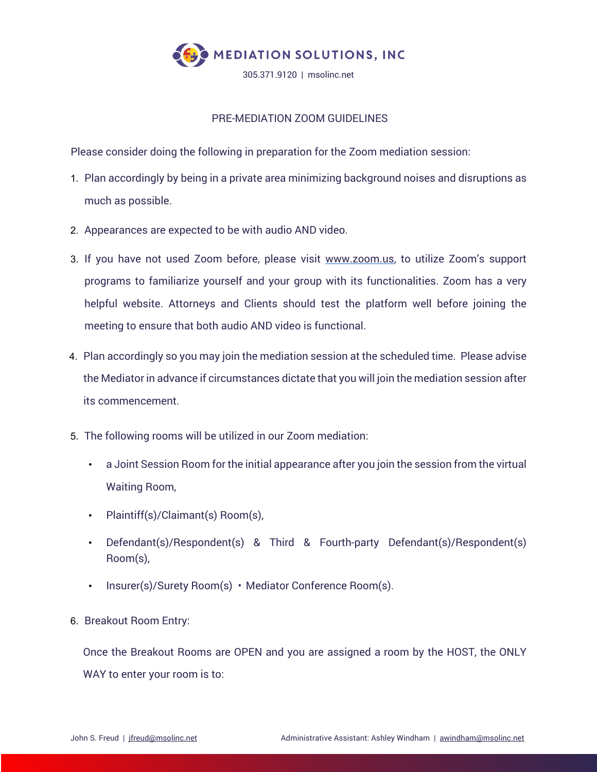

## PRE-MEDIATION ZOOM GUIDELINES

Please consider doing the following in preparation for the Zoom mediation session:

- 1. Plan accordingly by being in a private area minimizing background noises and disruptions as much as possible.
- 2. Appearances are expected to be with audio AND video.
- 3. If you have not used Zoom before, please visit www.zoom.us, to utilize Zoom's support programs to familiarize yourself and your group with its functionalities. Zoom has a very helpful website. Attorneys and Clients should test the platform well before joining the meeting to ensure that both audio AND video is functional.
- 4. Plan accordingly so you may join the mediation session at the scheduled time. Please advise the Mediator in advance if circumstances dictate that you will join the mediation session after its commencement.
- 5. The following rooms will be utilized in our Zoom mediation:
	- a Joint Session Room for the initial appearance after you join the session from the virtual Waiting Room,
	- Plaintiff(s)/Claimant(s) Room(s),
	- Defendant(s)/Respondent(s) & Third & Fourth-party Defendant(s)/Respondent(s) Room(s),
	- Insurer(s)/Surety Room(s) Mediator Conference Room(s).
- 6. Breakout Room Entry:

Once the Breakout Rooms are OPEN and you are assigned a room by the HOST, the ONLY WAY to enter your room is to: